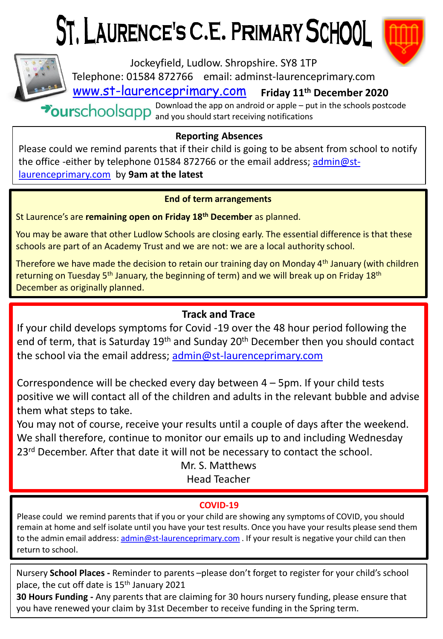# ST. LAURENCE'S C.E. PRIMARY SCHOOL



[www.st-laurenceprimary.com](http://www.st-laurenceprimary.com/) **Friday 11th December 2020** Jockeyfield, Ludlow. Shropshire. SY8 1TP Telephone: 01584 872766 email: adminst-laurenceprimary.com

Download the app on android or apple – put in the schools postcode and you should start receiving notifications

## **Reporting Absences**

Please could we remind parents that if their child is going to be absent from school to notify [the office -either by telephone 01584 872766 or the email address; admin@st](mailto:admin@st-laurenceprimary.com)laurenceprimary.com by **9am at the latest**

### **End of term arrangements**

St Laurence's are **remaining open on Friday 18th December** as planned.

You may be aware that other Ludlow Schools are closing early. The essential difference is that these schools are part of an Academy Trust and we are not: we are a local authority school.

Therefore we have made the decision to retain our training day on Monday 4<sup>th</sup> January (with children returning on Tuesday  $5<sup>th</sup>$  January, the beginning of term) and we will break up on Friday 18<sup>th</sup> December as originally planned.

# **Track and Trace**

If your child develops symptoms for Covid -19 over the 48 hour period following the end of term, that is Saturday 19th and Sunday 20th December then you should contact the school via the email address; [admin@st-laurenceprimary.com](mailto:admin@st-laurenceprimary.com)

Correspondence will be checked every day between 4 – 5pm. If your child tests positive we will contact all of the children and adults in the relevant bubble and advise them what steps to take.

You may not of course, receive your results until a couple of days after the weekend. We shall therefore, continue to monitor our emails up to and including Wednesday 23<sup>rd</sup> December. After that date it will not be necessary to contact the school.

> Mr. S. Matthews Head Teacher

## **COVID-19**

Please could we remind parents that if you or your child are showing any symptoms of COVID, you should remain at home and self isolate until you have your test results. Once you have your results please send them to the admin email address: [admin@st-laurenceprimary.com](mailto:admin@st-laurenceprimary.com) . If your result is negative your child can then return to school.

Nursery **School Places -** Reminder to parents –please don't forget to register for your child's school place, the cut off date is 15<sup>th</sup> January 2021

**30 Hours Funding -** Any parents that are claiming for 30 hours nursery funding, please ensure that you have renewed your claim by 31st December to receive funding in the Spring term.